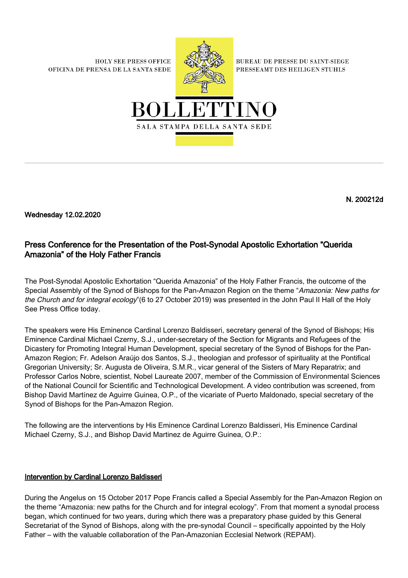**HOLY SEE PRESS OFFICE** OFICINA DE PRENSA DE LA SANTA SEDE



**BUREAU DE PRESSE DU SAINT-SIEGE** PRESSEAMT DES HEILIGEN STUHLS



N. 200212d

Wednesday 12.02.2020

## Press Conference for the Presentation of the Post-Synodal Apostolic Exhortation "Querida Amazonia" of the Holy Father Francis

The Post-Synodal Apostolic Exhortation "Querida Amazonia" of the Holy Father Francis, the outcome of the Special Assembly of the Synod of Bishops for the Pan-Amazon Region on the theme "Amazonia: New paths for the Church and for integral ecology"(6 to 27 October 2019) was presented in the John Paul II Hall of the Holy See Press Office today.

The speakers were His Eminence Cardinal Lorenzo Baldisseri, secretary general of the Synod of Bishops; His Eminence Cardinal Michael Czerny, S.J., under-secretary of the Section for Migrants and Refugees of the Dicastery for Promoting Integral Human Development, special secretary of the Synod of Bishops for the Pan-Amazon Region; Fr. Adelson Araújo dos Santos, S.J., theologian and professor of spirituality at the Pontifical Gregorian University; Sr. Augusta de Oliveira, S.M.R., vicar general of the Sisters of Mary Reparatrix; and Professor Carlos Nobre, scientist, Nobel Laureate 2007, member of the Commission of Environmental Sciences of the National Council for Scientific and Technological Development. A video contribution was screened, from Bishop David Martínez de Aguirre Guinea, O.P., of the vicariate of Puerto Maldonado, special secretary of the Synod of Bishops for the Pan-Amazon Region.

The following are the interventions by His Eminence Cardinal Lorenzo Baldisseri, His Eminence Cardinal Michael Czerny, S.J., and Bishop David Martinez de Aguirre Guinea, O.P.:

## Intervention by Cardinal Lorenzo Baldisseri

During the Angelus on 15 October 2017 Pope Francis called a Special Assembly for the Pan-Amazon Region on the theme "Amazonia: new paths for the Church and for integral ecology". From that moment a synodal process began, which continued for two years, during which there was a preparatory phase guided by this General Secretariat of the Synod of Bishops, along with the pre-synodal Council – specifically appointed by the Holy Father – with the valuable collaboration of the Pan-Amazonian Ecclesial Network (REPAM).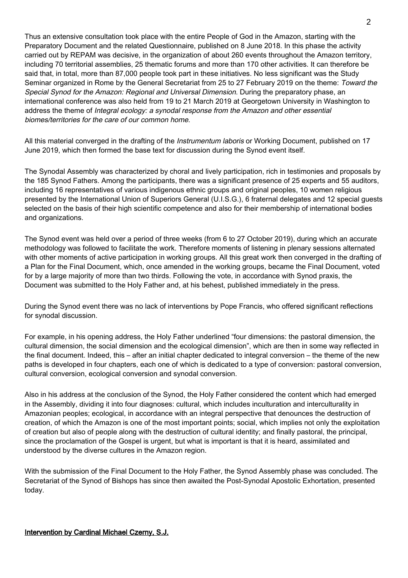Thus an extensive consultation took place with the entire People of God in the Amazon, starting with the Preparatory Document and the related Questionnaire, published on 8 June 2018. In this phase the activity carried out by REPAM was decisive, in the organization of about 260 events throughout the Amazon territory, including 70 territorial assemblies, 25 thematic forums and more than 170 other activities. It can therefore be said that, in total, more than 87,000 people took part in these initiatives. No less significant was the Study Seminar organized in Rome by the General Secretariat from 25 to 27 February 2019 on the theme: Toward the Special Synod for the Amazon: Regional and Universal Dimension. During the preparatory phase, an international conference was also held from 19 to 21 March 2019 at Georgetown University in Washington to address the theme of Integral ecology: a synodal response from the Amazon and other essential biomes/territories for the care of our common home.

All this material converged in the drafting of the *Instrumentum laboris* or Working Document, published on 17 June 2019, which then formed the base text for discussion during the Synod event itself.

The Synodal Assembly was characterized by choral and lively participation, rich in testimonies and proposals by the 185 Synod Fathers. Among the participants, there was a significant presence of 25 experts and 55 auditors, including 16 representatives of various indigenous ethnic groups and original peoples, 10 women religious presented by the International Union of Superiors General (U.I.S.G.), 6 fraternal delegates and 12 special guests selected on the basis of their high scientific competence and also for their membership of international bodies and organizations.

The Synod event was held over a period of three weeks (from 6 to 27 October 2019), during which an accurate methodology was followed to facilitate the work. Therefore moments of listening in plenary sessions alternated with other moments of active participation in working groups. All this great work then converged in the drafting of a Plan for the Final Document, which, once amended in the working groups, became the Final Document, voted for by a large majority of more than two thirds. Following the vote, in accordance with Synod praxis, the Document was submitted to the Holy Father and, at his behest, published immediately in the press.

During the Synod event there was no lack of interventions by Pope Francis, who offered significant reflections for synodal discussion.

For example, in his opening address, the Holy Father underlined "four dimensions: the pastoral dimension, the cultural dimension, the social dimension and the ecological dimension", which are then in some way reflected in the final document. Indeed, this – after an initial chapter dedicated to integral conversion – the theme of the new paths is developed in four chapters, each one of which is dedicated to a type of conversion: pastoral conversion, cultural conversion, ecological conversion and synodal conversion.

Also in his address at the conclusion of the Synod, the Holy Father considered the content which had emerged in the Assembly, dividing it into four diagnoses: cultural, which includes inculturation and interculturality in Amazonian peoples; ecological, in accordance with an integral perspective that denounces the destruction of creation, of which the Amazon is one of the most important points; social, which implies not only the exploitation of creation but also of people along with the destruction of cultural identity; and finally pastoral, the principal, since the proclamation of the Gospel is urgent, but what is important is that it is heard, assimilated and understood by the diverse cultures in the Amazon region.

With the submission of the Final Document to the Holy Father, the Synod Assembly phase was concluded. The Secretariat of the Synod of Bishops has since then awaited the Post-Synodal Apostolic Exhortation, presented today.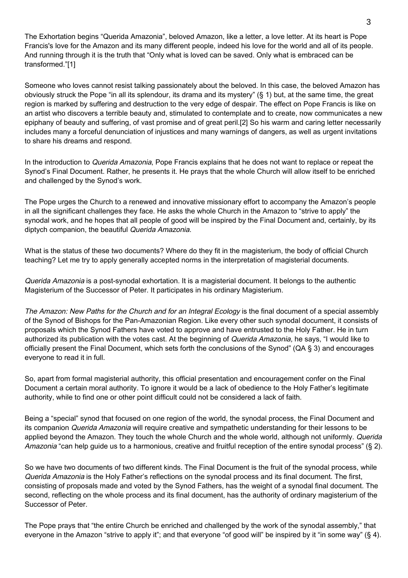The Exhortation begins "Querida Amazonia", beloved Amazon, like a letter, a love letter. At its heart is Pope Francis's love for the Amazon and its many different people, indeed his love for the world and all of its people. And running through it is the truth that "Only what is loved can be saved. Only what is embraced can be transformed."[1]

Someone who loves cannot resist talking passionately about the beloved. In this case, the beloved Amazon has obviously struck the Pope "in all its splendour, its drama and its mystery" (§ 1) but, at the same time, the great region is marked by suffering and destruction to the very edge of despair. The effect on Pope Francis is like on an artist who discovers a terrible beauty and, stimulated to contemplate and to create, now communicates a new epiphany of beauty and suffering, of vast promise and of great peril.[2] So his warm and caring letter necessarily includes many a forceful denunciation of injustices and many warnings of dangers, as well as urgent invitations to share his dreams and respond.

In the introduction to *Querida Amazonia*, Pope Francis explains that he does not want to replace or repeat the Synod's Final Document. Rather, he presents it. He prays that the whole Church will allow itself to be enriched and challenged by the Synod's work.

The Pope urges the Church to a renewed and innovative missionary effort to accompany the Amazon's people in all the significant challenges they face. He asks the whole Church in the Amazon to "strive to apply" the synodal work, and he hopes that all people of good will be inspired by the Final Document and, certainly, by its diptych companion, the beautiful Querida Amazonia.

What is the status of these two documents? Where do they fit in the magisterium, the body of official Church teaching? Let me try to apply generally accepted norms in the interpretation of magisterial documents.

Querida Amazonia is a post-synodal exhortation. It is a magisterial document. It belongs to the authentic Magisterium of the Successor of Peter. It participates in his ordinary Magisterium.

The Amazon: New Paths for the Church and for an Integral Ecology is the final document of a special assembly of the Synod of Bishops for the Pan-Amazonian Region. Like every other such synodal document, it consists of proposals which the Synod Fathers have voted to approve and have entrusted to the Holy Father. He in turn authorized its publication with the votes cast. At the beginning of Querida Amazonia, he says, "I would like to officially present the Final Document, which sets forth the conclusions of the Synod" (QA § 3) and encourages everyone to read it in full.

So, apart from formal magisterial authority, this official presentation and encouragement confer on the Final Document a certain moral authority. To ignore it would be a lack of obedience to the Holy Father's legitimate authority, while to find one or other point difficult could not be considered a lack of faith.

Being a "special" synod that focused on one region of the world, the synodal process, the Final Document and its companion Querida Amazonia will require creative and sympathetic understanding for their lessons to be applied beyond the Amazon. They touch the whole Church and the whole world, although not uniformly. Querida Amazonia "can help guide us to a harmonious, creative and fruitful reception of the entire synodal process" (§ 2).

So we have two documents of two different kinds. The Final Document is the fruit of the synodal process, while Querida Amazonia is the Holy Father's reflections on the synodal process and its final document. The first, consisting of proposals made and voted by the Synod Fathers, has the weight of a synodal final document. The second, reflecting on the whole process and its final document, has the authority of ordinary magisterium of the Successor of Peter.

The Pope prays that "the entire Church be enriched and challenged by the work of the synodal assembly," that everyone in the Amazon "strive to apply it"; and that everyone "of good will" be inspired by it "in some way" (§ 4).